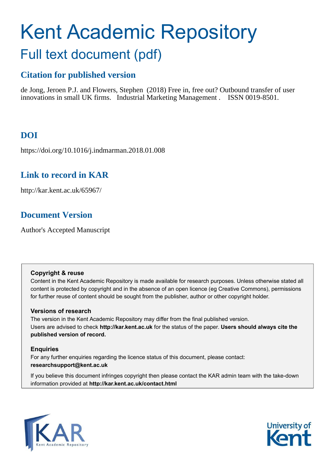# Kent Academic Repository Full text document (pdf)

# **Citation for published version**

de Jong, Jeroen P.J. and Flowers, Stephen (2018) Free in, free out? Outbound transfer of user innovations in small UK firms. Industrial Marketing Management . ISSN 0019-8501.

# **DOI**

https://doi.org/10.1016/j.indmarman.2018.01.008

# **Link to record in KAR**

http://kar.kent.ac.uk/65967/

# **Document Version**

Author's Accepted Manuscript

### **Copyright & reuse**

Content in the Kent Academic Repository is made available for research purposes. Unless otherwise stated all content is protected by copyright and in the absence of an open licence (eg Creative Commons), permissions for further reuse of content should be sought from the publisher, author or other copyright holder.

## **Versions of research**

The version in the Kent Academic Repository may differ from the final published version. Users are advised to check **http://kar.kent.ac.uk** for the status of the paper. **Users should always cite the published version of record.**

## **Enquiries**

For any further enquiries regarding the licence status of this document, please contact: **researchsupport@kent.ac.uk**

If you believe this document infringes copyright then please contact the KAR admin team with the take-down information provided at **http://kar.kent.ac.uk/contact.html**



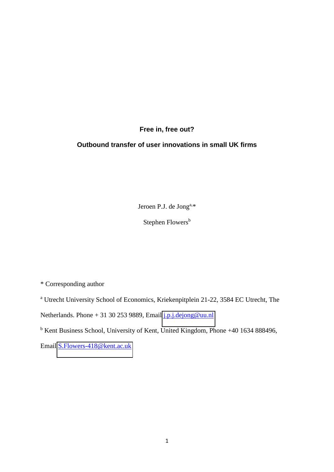## **Free in, free out?**

## **Outbound transfer of user innovations in small UK firms**

Jeroen P.J. de Jong<sup>a,\*</sup>

Stephen Flowers<sup>b</sup>

\* Corresponding author

<sup>a</sup> Utrecht University School of Economics, Kriekenpitplein 21-22, 3584 EC Utrecht, The

Netherlands. Phone + 31 30 253 9889, Email  $j.p.i.dejong@uu.nl$ 

<sup>b</sup> Kent Business School, University of Kent, United Kingdom, Phone +40 1634 888496,

Email [S.Flowers-418@kent.ac.uk](mailto:S.Flowers-418@kent.ac.uk)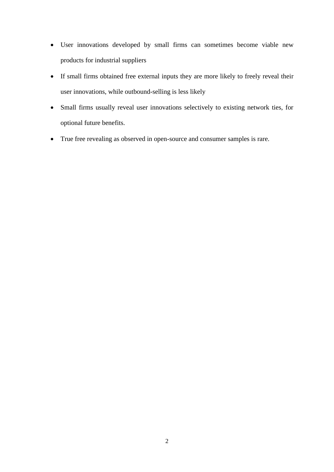- User innovations developed by small firms can sometimes become viable new products for industrial suppliers
- If small firms obtained free external inputs they are more likely to freely reveal their user innovations, while outbound-selling is less likely
- Small firms usually reveal user innovations selectively to existing network ties, for optional future benefits.
- True free revealing as observed in open-source and consumer samples is rare.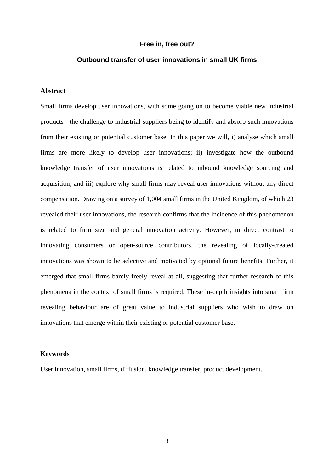#### **Free in, free out?**

#### **Outbound transfer of user innovations in small UK firms**

#### **Abstract**

Small firms develop user innovations, with some going on to become viable new industrial products - the challenge to industrial suppliers being to identify and absorb such innovations from their existing or potential customer base. In this paper we will, i) analyse which small firms are more likely to develop user innovations; ii) investigate how the outbound knowledge transfer of user innovations is related to inbound knowledge sourcing and acquisition; and iii) explore why small firms may reveal user innovations without any direct compensation. Drawing on a survey of 1,004 small firms in the United Kingdom, of which 23 revealed their user innovations, the research confirms that the incidence of this phenomenon is related to firm size and general innovation activity. However, in direct contrast to innovating consumers or open-source contributors, the revealing of locally-created innovations was shown to be selective and motivated by optional future benefits. Further, it emerged that small firms barely freely reveal at all, suggesting that further research of this phenomena in the context of small firms is required. These in-depth insights into small firm revealing behaviour are of great value to industrial suppliers who wish to draw on innovations that emerge within their existing or potential customer base.

#### **Keywords**

User innovation, small firms, diffusion, knowledge transfer, product development.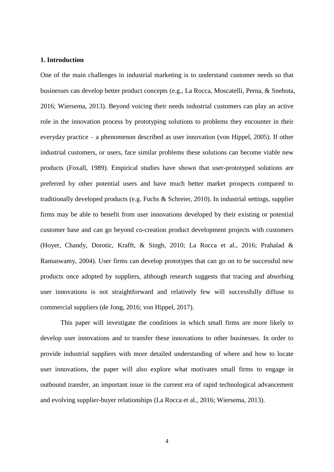#### **1. Introduction**

One of the main challenges in industrial marketing is to understand customer needs so that businesses can develop better product concepts (e.g., La Rocca, Moscatelli, Perna, & Snehota, 2016; Wiersema, 2013). Beyond voicing their needs industrial customers can play an active role in the innovation process by prototyping solutions to problems they encounter in their everyday practice – a phenomenon described as user innovation (von Hippel, 2005). If other industrial customers, or users, face similar problems these solutions can become viable new products (Foxall, 1989). Empirical studies have shown that user-prototyped solutions are preferred by other potential users and have much better market prospects compared to traditionally developed products (e.g. Fuchs & Schreier, 2010). In industrial settings, supplier firms may be able to benefit from user innovations developed by their existing or potential customer base and can go beyond co-creation product development projects with customers (Hoyer, Chandy, Dorotic, Krafft, & Singh, 2010; La Rocca et al., 2016; Prahalad & Ramaswamy, 2004). User firms can develop prototypes that can go on to be successful new products once adopted by suppliers, although research suggests that tracing and absorbing user innovations is not straightforward and relatively few will successfully diffuse to commercial suppliers (de Jong, 2016; von Hippel, 2017).

This paper will investigate the conditions in which small firms are more likely to develop user innovations and to transfer these innovations to other businesses. In order to provide industrial suppliers with more detailed understanding of where and how to locate user innovations, the paper will also explore what motivates small firms to engage in outbound transfer, an important issue in the current era of rapid technological advancement and evolving supplier-buyer relationships (La Rocca et al., 2016; Wiersema, 2013).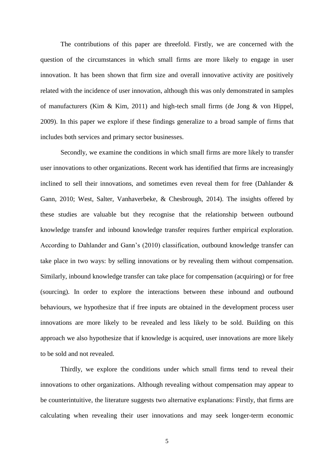The contributions of this paper are threefold. Firstly, we are concerned with the question of the circumstances in which small firms are more likely to engage in user innovation. It has been shown that firm size and overall innovative activity are positively related with the incidence of user innovation, although this was only demonstrated in samples of manufacturers (Kim & Kim, 2011) and high-tech small firms (de Jong & von Hippel, 2009). In this paper we explore if these findings generalize to a broad sample of firms that includes both services and primary sector businesses.

Secondly, we examine the conditions in which small firms are more likely to transfer user innovations to other organizations. Recent work has identified that firms are increasingly inclined to sell their innovations, and sometimes even reveal them for free (Dahlander  $\&$ Gann, 2010; West, Salter, Vanhaverbeke, & Chesbrough, 2014). The insights offered by these studies are valuable but they recognise that the relationship between outbound knowledge transfer and inbound knowledge transfer requires further empirical exploration. According to Dahlander and Gann's (2010) classification, outbound knowledge transfer can take place in two ways: by selling innovations or by revealing them without compensation. Similarly, inbound knowledge transfer can take place for compensation (acquiring) or for free (sourcing). In order to explore the interactions between these inbound and outbound behaviours, we hypothesize that if free inputs are obtained in the development process user innovations are more likely to be revealed and less likely to be sold. Building on this approach we also hypothesize that if knowledge is acquired, user innovations are more likely to be sold and not revealed.

Thirdly, we explore the conditions under which small firms tend to reveal their innovations to other organizations. Although revealing without compensation may appear to be counterintuitive, the literature suggests two alternative explanations: Firstly, that firms are calculating when revealing their user innovations and may seek longer-term economic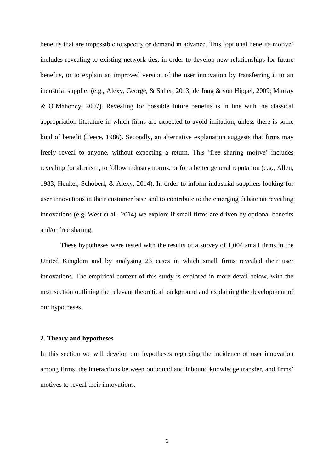benefits that are impossible to specify or demand in advance. This 'optional benefits motive' includes revealing to existing network ties, in order to develop new relationships for future benefits, or to explain an improved version of the user innovation by transferring it to an industrial supplier (e.g., Alexy, George, & Salter, 2013; de Jong & von Hippel, 2009; Murray & O'Mahoney, 2007). Revealing for possible future benefits is in line with the classical appropriation literature in which firms are expected to avoid imitation, unless there is some kind of benefit (Teece, 1986). Secondly, an alternative explanation suggests that firms may freely reveal to anyone, without expecting a return. This 'free sharing motive' includes revealing for altruism, to follow industry norms, or for a better general reputation (e.g., Allen, 1983, Henkel, Schöberl, & Alexy, 2014). In order to inform industrial suppliers looking for user innovations in their customer base and to contribute to the emerging debate on revealing innovations (e.g. West et al., 2014) we explore if small firms are driven by optional benefits and/or free sharing.

These hypotheses were tested with the results of a survey of 1,004 small firms in the United Kingdom and by analysing 23 cases in which small firms revealed their user innovations. The empirical context of this study is explored in more detail below, with the next section outlining the relevant theoretical background and explaining the development of our hypotheses.

#### **2. Theory and hypotheses**

In this section we will develop our hypotheses regarding the incidence of user innovation among firms, the interactions between outbound and inbound knowledge transfer, and firms' motives to reveal their innovations.

6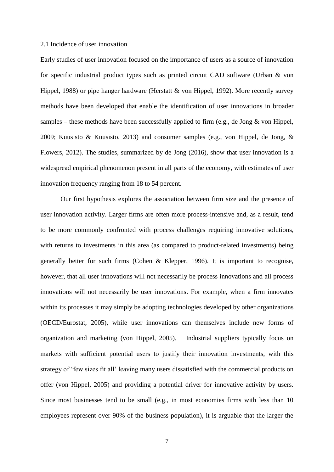#### 2.1 Incidence of user innovation

Early studies of user innovation focused on the importance of users as a source of innovation for specific industrial product types such as printed circuit CAD software (Urban & von Hippel, 1988) or pipe hanger hardware (Herstatt & von Hippel, 1992). More recently survey methods have been developed that enable the identification of user innovations in broader samples – these methods have been successfully applied to firm (e.g., de Jong  $\&$  von Hippel, 2009; Kuusisto & Kuusisto, 2013) and consumer samples (e.g., von Hippel, de Jong, & Flowers, 2012). The studies, summarized by de Jong (2016), show that user innovation is a widespread empirical phenomenon present in all parts of the economy, with estimates of user innovation frequency ranging from 18 to 54 percent.

Our first hypothesis explores the association between firm size and the presence of user innovation activity. Larger firms are often more process-intensive and, as a result, tend to be more commonly confronted with process challenges requiring innovative solutions, with returns to investments in this area (as compared to product-related investments) being generally better for such firms (Cohen & Klepper, 1996). It is important to recognise, however, that all user innovations will not necessarily be process innovations and all process innovations will not necessarily be user innovations. For example, when a firm innovates within its processes it may simply be adopting technologies developed by other organizations (OECD/Eurostat, 2005), while user innovations can themselves include new forms of organization and marketing (von Hippel, 2005). Industrial suppliers typically focus on markets with sufficient potential users to justify their innovation investments, with this strategy of 'few sizes fit all' leaving many users dissatisfied with the commercial products on offer (von Hippel, 2005) and providing a potential driver for innovative activity by users. Since most businesses tend to be small (e.g., in most economies firms with less than 10 employees represent over 90% of the business population), it is arguable that the larger the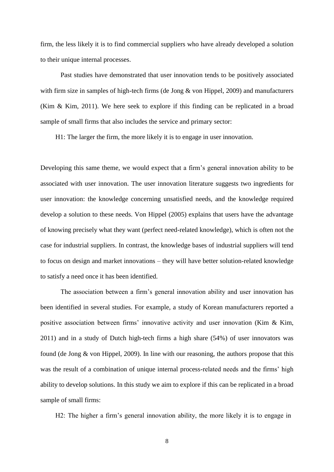firm, the less likely it is to find commercial suppliers who have already developed a solution to their unique internal processes.

Past studies have demonstrated that user innovation tends to be positively associated with firm size in samples of high-tech firms (de Jong & von Hippel, 2009) and manufacturers (Kim & Kim, 2011). We here seek to explore if this finding can be replicated in a broad sample of small firms that also includes the service and primary sector:

H1: The larger the firm, the more likely it is to engage in user innovation.

Developing this same theme, we would expect that a firm's general innovation ability to be associated with user innovation. The user innovation literature suggests two ingredients for user innovation: the knowledge concerning unsatisfied needs, and the knowledge required develop a solution to these needs. Von Hippel (2005) explains that users have the advantage of knowing precisely what they want (perfect need-related knowledge), which is often not the case for industrial suppliers. In contrast, the knowledge bases of industrial suppliers will tend to focus on design and market innovations – they will have better solution-related knowledge to satisfy a need once it has been identified.

The association between a firm's general innovation ability and user innovation has been identified in several studies. For example, a study of Korean manufacturers reported a positive association between firms' innovative activity and user innovation (Kim & Kim, 2011) and in a study of Dutch high-tech firms a high share (54%) of user innovators was found (de Jong  $\&$  von Hippel, 2009). In line with our reasoning, the authors propose that this was the result of a combination of unique internal process-related needs and the firms' high ability to develop solutions. In this study we aim to explore if this can be replicated in a broad sample of small firms:

H2: The higher a firm's general innovation ability, the more likely it is to engage in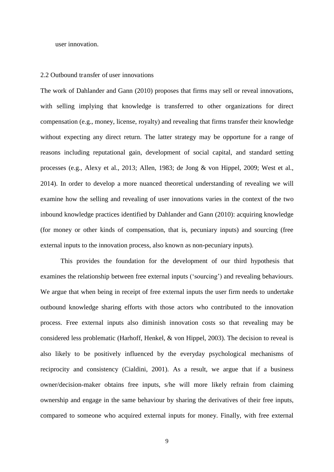user innovation.

#### 2.2 Outbound transfer of user innovations

The work of Dahlander and Gann (2010) proposes that firms may sell or reveal innovations, with selling implying that knowledge is transferred to other organizations for direct compensation (e.g., money, license, royalty) and revealing that firms transfer their knowledge without expecting any direct return. The latter strategy may be opportune for a range of reasons including reputational gain, development of social capital, and standard setting processes (e.g., Alexy et al., 2013; Allen, 1983; de Jong & von Hippel, 2009; West et al., 2014). In order to develop a more nuanced theoretical understanding of revealing we will examine how the selling and revealing of user innovations varies in the context of the two inbound knowledge practices identified by Dahlander and Gann (2010): acquiring knowledge (for money or other kinds of compensation, that is, pecuniary inputs) and sourcing (free external inputs to the innovation process, also known as non-pecuniary inputs).

This provides the foundation for the development of our third hypothesis that examines the relationship between free external inputs ('sourcing') and revealing behaviours. We argue that when being in receipt of free external inputs the user firm needs to undertake outbound knowledge sharing efforts with those actors who contributed to the innovation process. Free external inputs also diminish innovation costs so that revealing may be considered less problematic (Harhoff, Henkel, & von Hippel, 2003). The decision to reveal is also likely to be positively influenced by the everyday psychological mechanisms of reciprocity and consistency (Cialdini, 2001). As a result, we argue that if a business owner/decision-maker obtains free inputs, s/he will more likely refrain from claiming ownership and engage in the same behaviour by sharing the derivatives of their free inputs, compared to someone who acquired external inputs for money. Finally, with free external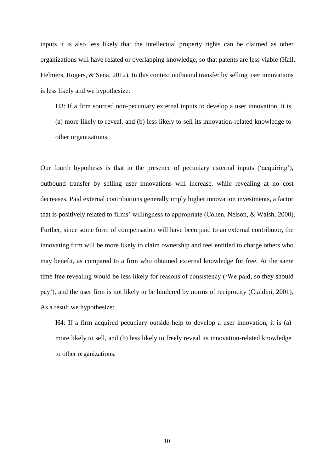inputs it is also less likely that the intellectual property rights can be claimed as other organizations will have related or overlapping knowledge, so that patents are less viable (Hall, Helmers, Rogers, & Sena, 2012). In this context outbound transfer by selling user innovations is less likely and we hypothesize:

H3: If a firm sourced non-pecuniary external inputs to develop a user innovation, it is (a) more likely to reveal, and (b) less likely to sell its innovation-related knowledge to other organizations.

Our fourth hypothesis is that in the presence of pecuniary external inputs ('acquiring'), outbound transfer by selling user innovations will increase, while revealing at no cost decreases. Paid external contributions generally imply higher innovation investments, a factor that is positively related to firms' willingness to appropriate (Cohen, Nelson, & Walsh, 2000). Further, since some form of compensation will have been paid to an external contributor, the innovating firm will be more likely to claim ownership and feel entitled to charge others who may benefit, as compared to a firm who obtained external knowledge for free. At the same time free revealing would be less likely for reasons of consistency ('We paid, so they should pay'), and the user firm is not likely to be hindered by norms of reciprocity (Cialdini, 2001). As a result we hypothesize:

H4: If a firm acquired pecuniary outside help to develop a user innovation, it is (a) more likely to sell, and (b) less likely to freely reveal its innovation-related knowledge to other organizations.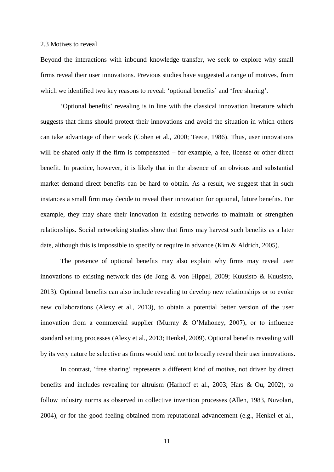#### 2.3 Motives to reveal

Beyond the interactions with inbound knowledge transfer, we seek to explore why small firms reveal their user innovations. Previous studies have suggested a range of motives, from which we identified two key reasons to reveal: 'optional benefits' and 'free sharing'.

'Optional benefits' revealing is in line with the classical innovation literature which suggests that firms should protect their innovations and avoid the situation in which others can take advantage of their work (Cohen et al., 2000; Teece, 1986). Thus, user innovations will be shared only if the firm is compensated – for example, a fee, license or other direct benefit. In practice, however, it is likely that in the absence of an obvious and substantial market demand direct benefits can be hard to obtain. As a result, we suggest that in such instances a small firm may decide to reveal their innovation for optional, future benefits. For example, they may share their innovation in existing networks to maintain or strengthen relationships. Social networking studies show that firms may harvest such benefits as a later date, although this is impossible to specify or require in advance (Kim & Aldrich, 2005).

The presence of optional benefits may also explain why firms may reveal user innovations to existing network ties (de Jong & von Hippel, 2009; Kuusisto & Kuusisto, 2013). Optional benefits can also include revealing to develop new relationships or to evoke new collaborations (Alexy et al., 2013), to obtain a potential better version of the user innovation from a commercial supplier (Murray & O'Mahoney, 2007), or to influence standard setting processes (Alexy et al., 2013; Henkel, 2009). Optional benefits revealing will by its very nature be selective as firms would tend not to broadly reveal their user innovations.

In contrast, 'free sharing' represents a different kind of motive, not driven by direct benefits and includes revealing for altruism (Harhoff et al., 2003; Hars & Ou, 2002), to follow industry norms as observed in collective invention processes (Allen, 1983, Nuvolari, 2004), or for the good feeling obtained from reputational advancement (e.g., Henkel et al.,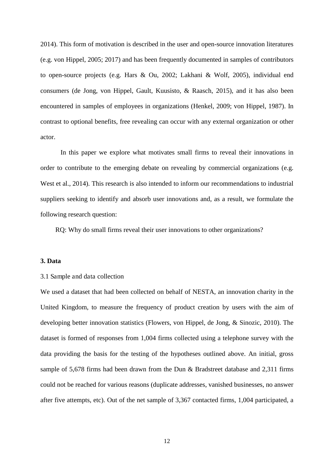2014). This form of motivation is described in the user and open-source innovation literatures (e.g. von Hippel, 2005; 2017) and has been frequently documented in samples of contributors to open-source projects (e.g. Hars & Ou, 2002; Lakhani & Wolf, 2005), individual end consumers (de Jong, von Hippel, Gault, Kuusisto, & Raasch, 2015), and it has also been encountered in samples of employees in organizations (Henkel, 2009; von Hippel, 1987). In contrast to optional benefits, free revealing can occur with any external organization or other actor.

In this paper we explore what motivates small firms to reveal their innovations in order to contribute to the emerging debate on revealing by commercial organizations (e.g. West et al., 2014). This research is also intended to inform our recommendations to industrial suppliers seeking to identify and absorb user innovations and, as a result, we formulate the following research question:

RQ: Why do small firms reveal their user innovations to other organizations?

#### **3. Data**

#### 3.1 Sample and data collection

We used a dataset that had been collected on behalf of NESTA, an innovation charity in the United Kingdom, to measure the frequency of product creation by users with the aim of developing better innovation statistics (Flowers, von Hippel, de Jong, & Sinozic, 2010). The dataset is formed of responses from 1,004 firms collected using a telephone survey with the data providing the basis for the testing of the hypotheses outlined above. An initial, gross sample of 5,678 firms had been drawn from the Dun & Bradstreet database and 2,311 firms could not be reached for various reasons (duplicate addresses, vanished businesses, no answer after five attempts, etc). Out of the net sample of 3,367 contacted firms, 1,004 participated, a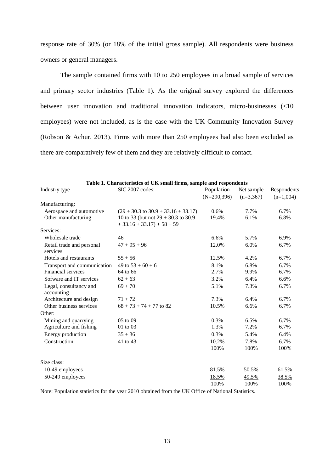response rate of 30% (or 18% of the initial gross sample). All respondents were business owners or general managers.

The sample contained firms with 10 to 250 employees in a broad sample of services and primary sector industries (Table 1). As the original survey explored the differences between user innovation and traditional innovation indicators, micro-businesses (<10 employees) were not included, as is the case with the UK Community Innovation Survey (Robson & Achur, 2013). Firms with more than 250 employees had also been excluded as there are comparatively few of them and they are relatively difficult to contact.

| Table 1. Characteristics of UK small firms, sample and respondents |                                                |               |             |             |  |  |  |  |
|--------------------------------------------------------------------|------------------------------------------------|---------------|-------------|-------------|--|--|--|--|
| Industry type                                                      | SIC 2007 codes:                                | Population    | Net sample  | Respondents |  |  |  |  |
|                                                                    |                                                | $(N=290,396)$ | $(n=3,367)$ | $(n=1,004)$ |  |  |  |  |
| Manufacturing:                                                     |                                                |               |             |             |  |  |  |  |
| Aerospace and automotive                                           | $(29 + 30.3 \text{ to } 30.9 + 33.16 + 33.17)$ | $0.6\%$       | 7.7%        | 6.7%        |  |  |  |  |
| Other manufacturing                                                | 10 to 33 (but not $29 + 30.3$ to 30.9          | 19.4%         | 6.1%        | 6.8%        |  |  |  |  |
|                                                                    | $+33.16 + 33.17 + 58 + 59$                     |               |             |             |  |  |  |  |
| Services:                                                          |                                                |               |             |             |  |  |  |  |
| Wholesale trade                                                    | 46                                             | 6.6%          | 5.7%        | 6.9%        |  |  |  |  |
| Retail trade and personal<br>services                              | $47 + 95 + 96$                                 | 12.0%         | 6.0%        | 6.7%        |  |  |  |  |
| Hotels and restaurants                                             | $55 + 56$                                      | 12.5%         | 4.2%        | 6.7%        |  |  |  |  |
| Transport and communication                                        | 49 to $53 + 60 + 61$                           | 8.1%          | 6.8%        | 6.7%        |  |  |  |  |
| Financial services                                                 | 64 to 66                                       | 2.7%          | 9.9%        | 6.7%        |  |  |  |  |
| Sofware and IT services                                            | $62 + 63$                                      | 3.2%          | 6.4%        | 6.6%        |  |  |  |  |
| Legal, consultancy and                                             | $69 + 70$                                      | 5.1%          | 7.3%        | 6.7%        |  |  |  |  |
| accounting                                                         |                                                |               |             |             |  |  |  |  |
| Architecture and design                                            | $71 + 72$                                      | 7.3%          | 6.4%        | 6.7%        |  |  |  |  |
| Other business services                                            | $68 + 73 + 74 + 77$ to 82                      | 10.5%         | 6.6%        | 6.7%        |  |  |  |  |
| Other:                                                             |                                                |               |             |             |  |  |  |  |
| Mining and quarrying                                               | $05$ to $09$                                   | 0.3%          | 6.5%        | 6.7%        |  |  |  |  |
| Agriculture and fishing                                            | 01 to 03                                       | 1.3%          | 7.2%        | 6.7%        |  |  |  |  |
| Energy production                                                  | $35 + 36$                                      | 0.3%          | 5.4%        | 6.4%        |  |  |  |  |
| Construction                                                       | 41 to 43                                       | 10.2%         | 7.8%        | 6.7%        |  |  |  |  |
|                                                                    |                                                | 100%          | 100%        | 100%        |  |  |  |  |
| Size class:                                                        |                                                |               |             |             |  |  |  |  |
| 10-49 employees                                                    |                                                | 81.5%         | 50.5%       | 61.5%       |  |  |  |  |
| 50-249 employees                                                   |                                                | 18.5%         | 49.5%       | 38.5%       |  |  |  |  |
|                                                                    |                                                | 100%          | 100%        | 100%        |  |  |  |  |

Note: Population statistics for the year 2010 obtained from the UK Office of National Statistics.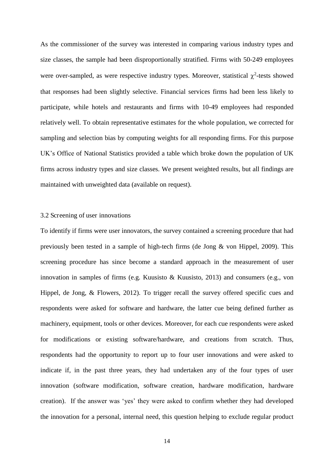As the commissioner of the survey was interested in comparing various industry types and size classes, the sample had been disproportionally stratified. Firms with 50-249 employees were over-sampled, as were respective industry types. Moreover, statistical  $\chi^2$ -tests showed that responses had been slightly selective. Financial services firms had been less likely to participate, while hotels and restaurants and firms with 10-49 employees had responded relatively well. To obtain representative estimates for the whole population, we corrected for sampling and selection bias by computing weights for all responding firms. For this purpose UK's Office of National Statistics provided a table which broke down the population of UK firms across industry types and size classes. We present weighted results, but all findings are maintained with unweighted data (available on request).

#### 3.2 Screening of user innovations

To identify if firms were user innovators, the survey contained a screening procedure that had previously been tested in a sample of high-tech firms (de Jong & von Hippel, 2009). This screening procedure has since become a standard approach in the measurement of user innovation in samples of firms (e.g. Kuusisto & Kuusisto, 2013) and consumers (e.g., von Hippel, de Jong, & Flowers, 2012). To trigger recall the survey offered specific cues and respondents were asked for software and hardware, the latter cue being defined further as machinery, equipment, tools or other devices. Moreover, for each cue respondents were asked for modifications or existing software/hardware, and creations from scratch. Thus, respondents had the opportunity to report up to four user innovations and were asked to indicate if, in the past three years, they had undertaken any of the four types of user innovation (software modification, software creation, hardware modification, hardware creation). If the answer was 'yes' they were asked to confirm whether they had developed the innovation for a personal, internal need, this question helping to exclude regular product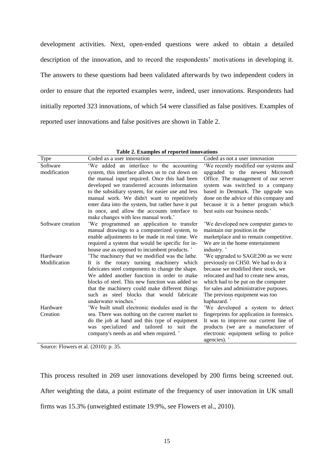development activities. Next, open-ended questions were asked to obtain a detailed description of the innovation, and to record the respondents' motivations in developing it. The answers to these questions had been validated afterwards by two independent coders in order to ensure that the reported examples were, indeed, user innovations. Respondents had initially reported 323 innovations, of which 54 were classified as false positives. Examples of reported user innovations and false positives are shown in Table 2.

|  |  |  |  | Table 2. Examples of reported innovations |
|--|--|--|--|-------------------------------------------|
|--|--|--|--|-------------------------------------------|

| Type              | Coded as a user innovation                         | Coded as not a user innovation             |
|-------------------|----------------------------------------------------|--------------------------------------------|
| Software          | 'We added an interface to the accounting           | 'We recently modified our systems and      |
| modification      | system, this interface allows us to cut down on    | upgraded to the newest Microsoft           |
|                   | the manual input required. Once this had been      | Office. The management of our server       |
|                   | developed we transferred accounts information      | system was switched to a company           |
|                   | to the subsidiary system, for easier use and less  | based in Denmark. The upgrade was          |
|                   | manual work. We didn't want to repetitively        | done on the advice of this company and     |
|                   | enter data into the system, but rather have it put | because it is a better program which       |
|                   | in once, and allow the accounts interface to       | best suits our business needs.'            |
|                   | make changes with less manual work.'               |                                            |
| Software creation | 'We programmed an application to transfer          | We developed new computer games to         |
|                   | manual drawings to a computerized system, to       | maintain our position in the               |
|                   | enable adjustments to be made in real time. We     | marketplace and to remain competitive.     |
|                   | required a system that would be specific for in-   | We are in the home entertainment           |
|                   | house use as opposed to incumbent products. '      | industry.'                                 |
| Hardware          | The machinery that we modified was the lathe.      | We upgraded to SAGE200 as we were          |
| Modification      | It is the rotary turning machinery which           | previously on CH50. We had to do it        |
|                   | fabricates steel components to change the shape.   | because we modified their stock, we        |
|                   | We added another function in order to make         | relocated and had to create new areas.     |
|                   | blocks of steel. This new function was added so    | which had to be put on the computer        |
|                   | that the machinery could make different things     | for sales and administrative purposes.     |
|                   | such as steel blocks that would fabricate          | The previous equipment was too             |
|                   | underwater winches.'                               | haphazard.'                                |
| Hardware          | We built small electronic modules used in the      | 'We developed a system to detect           |
| Creation          | sea. There was nothing on the current market to    | fingerprints for application in forensics. |
|                   | do the job at hand and this type of equipment      | It was to improve our current line of      |
|                   | was specialized and tailored to suit the           | products (we are a manufacturer of         |
|                   | company's needs as and when required. '            | electronic equipment selling to police     |
|                   |                                                    | agencies).'                                |

Source: Flowers et al. (2010): p. 35.

This process resulted in 269 user innovations developed by 200 firms being screened out. After weighting the data, a point estimate of the frequency of user innovation in UK small firms was 15.3% (unweighted estimate 19.9%, see Flowers et al., 2010).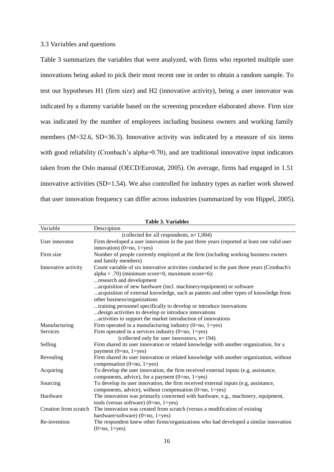#### 3.3 Variables and questions

Table 3 summarizes the variables that were analyzed, with firms who reported multiple user innovations being asked to pick their most recent one in order to obtain a random sample. To test our hypotheses H1 (firm size) and H2 (innovative activity), being a user innovator was indicated by a dummy variable based on the screening procedure elaborated above. Firm size was indicated by the number of employees including business owners and working family members (M=32.6, SD=36.3). Innovative activity was indicated by a measure of six items with good reliability (Cronbach's alpha=0.70), and are traditional innovative input indicators taken from the Oslo manual (OECD/Eurostat, 2005). On average, firms had engaged in 1.51 innovative activities (SD=1.54). We also controlled for industry types as earlier work showed that user innovation frequency can differ across industries (summarized by von Hippel, 2005).

| <b>Table 3. Variables</b> |                                                                                                                                                                                                                                                     |  |  |  |  |
|---------------------------|-----------------------------------------------------------------------------------------------------------------------------------------------------------------------------------------------------------------------------------------------------|--|--|--|--|
| Variable                  | Description                                                                                                                                                                                                                                         |  |  |  |  |
|                           | (collected for all respondents, $n=1,004$ )                                                                                                                                                                                                         |  |  |  |  |
| User innovator            | Firm developed a user innovation in the past three years (reported at least one valid user<br>innovation) (0=no, 1=yes)                                                                                                                             |  |  |  |  |
| Firm size                 | Number of people currently employed at the firm (including working business owners<br>and family members)                                                                                                                                           |  |  |  |  |
| Innovative activity       | Count variable of six innovative activities conducted in the past three years (Cronbach's<br>$alpha = .70$ ) (minimum score=0, maximum score=6):<br>research and development<br>acquisition of new hardware (incl. machinery/equipment) or software |  |  |  |  |
|                           | acquisition of external knowledge, such as patents and other types of knowledge from<br>other business/organizations                                                                                                                                |  |  |  |  |
|                           | training personnel specifically to develop or introduce innovations                                                                                                                                                                                 |  |  |  |  |
|                           | design activities to develop or introduce innovations                                                                                                                                                                                               |  |  |  |  |
|                           | activities to support the market introduction of innovations                                                                                                                                                                                        |  |  |  |  |
| Manufacturing             | Firm operated in a manufacturing industry $(0=no, 1=yes)$                                                                                                                                                                                           |  |  |  |  |
| Services                  | Firm operated in a services industry $(0=no, 1=yes)$                                                                                                                                                                                                |  |  |  |  |
|                           | (collected only for user innovators, $n=194$ )                                                                                                                                                                                                      |  |  |  |  |
| Selling                   | Firm shared its user innovation or related knowledge with another organization, for a<br>payment $(0=no, 1=yes)$                                                                                                                                    |  |  |  |  |
| Revealing                 | Firm shared its user innovation or related knowledge with another organization, without<br>compensation $(0=no, 1=yes)$                                                                                                                             |  |  |  |  |
| Acquiring                 | To develop the user innovation, the firm received external inputs (e.g. assistance,<br>components, advice), for a payment $(0=no, 1=yes)$                                                                                                           |  |  |  |  |
| Sourcing                  | To develop its user innovation, the firm received external inputs (e.g, assistance,<br>components, advice), without compensation $(0=no, 1=yes)$                                                                                                    |  |  |  |  |
| Hardware                  | The innovation was primarily concerned with hardware, e.g., machinery, equipment,<br>tools (versus software) $(0=no, 1=yes)$                                                                                                                        |  |  |  |  |
| Creation from scratch     | The innovation was created from scratch (versus a modification of existing<br>hardware/software) $(0=no, 1=yes)$                                                                                                                                    |  |  |  |  |
| Re-invention              | The respondent knew other firms/organizations who had developed a similar innovation<br>$(0=no, 1=yes)$                                                                                                                                             |  |  |  |  |

16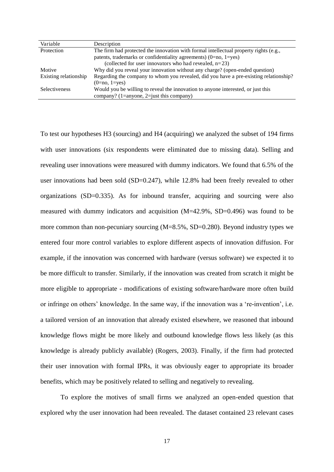| Variable              | Description                                                                           |
|-----------------------|---------------------------------------------------------------------------------------|
| Protection            | The firm had protected the innovation with formal intellectual property rights (e.g., |
|                       | patents, trademarks or confidentiality agreements) $(0=no, 1=yes)$                    |
|                       | (collected for user innovators who had revealed, $n=23$ )                             |
| Motive                | Why did you reveal your innovation without any charge? (open-ended question)          |
| Existing relationship | Regarding the company to whom you revealed, did you have a pre-existing relationship? |
|                       | $(0=no, 1=ves)$                                                                       |
| <b>Selectiveness</b>  | Would you be willing to reveal the innovation to anyone interested, or just this      |
|                       | company? (1=anyone, 2=just this company)                                              |

To test our hypotheses H3 (sourcing) and H4 (acquiring) we analyzed the subset of 194 firms with user innovations (six respondents were eliminated due to missing data). Selling and revealing user innovations were measured with dummy indicators. We found that 6.5% of the user innovations had been sold (SD=0.247), while 12.8% had been freely revealed to other organizations (SD=0.335). As for inbound transfer, acquiring and sourcing were also measured with dummy indicators and acquisition (M=42.9%, SD=0.496) was found to be more common than non-pecuniary sourcing (M=8.5%, SD=0.280). Beyond industry types we entered four more control variables to explore different aspects of innovation diffusion. For example, if the innovation was concerned with hardware (versus software) we expected it to be more difficult to transfer. Similarly, if the innovation was created from scratch it might be more eligible to appropriate - modifications of existing software/hardware more often build or infringe on others' knowledge. In the same way, if the innovation was a 're-invention', i.e. a tailored version of an innovation that already existed elsewhere, we reasoned that inbound knowledge flows might be more likely and outbound knowledge flows less likely (as this knowledge is already publicly available) (Rogers, 2003). Finally, if the firm had protected their user innovation with formal IPRs, it was obviously eager to appropriate its broader benefits, which may be positively related to selling and negatively to revealing.

 To explore the motives of small firms we analyzed an open-ended question that explored why the user innovation had been revealed. The dataset contained 23 relevant cases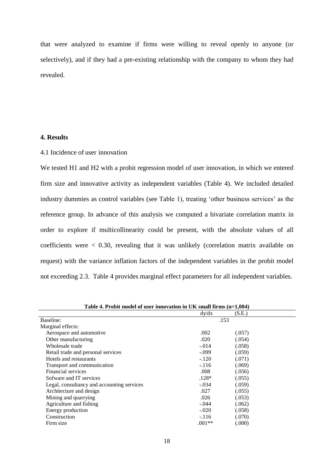that were analyzed to examine if firms were willing to reveal openly to anyone (or selectively), and if they had a pre-existing relationship with the company to whom they had revealed.

#### **4. Results**

#### 4.1 Incidence of user innovation

We tested H1 and H2 with a probit regression model of user innovation, in which we entered firm size and innovative activity as independent variables (Table 4). We included detailed industry dummies as control variables (see Table 1), treating 'other business services' as the reference group. In advance of this analysis we computed a bivariate correlation matrix in order to explore if multicollinearity could be present, with the absolute values of all coefficients were < 0.30, revealing that it was unlikely (correlation matrix available on request) with the variance inflation factors of the independent variables in the probit model not exceeding 2.3. Table 4 provides marginal effect parameters for all independent variables.

| <b>Table 4.</b> I Foolt model of user minovation in OIN small in this $(1 - 1, 004)$ |          |        |  |
|--------------------------------------------------------------------------------------|----------|--------|--|
|                                                                                      | dy/dx    | (S.E.) |  |
| Baseline:                                                                            |          | .153   |  |
| Marginal effects:                                                                    |          |        |  |
| Aerospace and automotive                                                             | .002     | (.057) |  |
| Other manufacturing                                                                  | .020     | (.054) |  |
| Wholesale trade                                                                      | $-.014$  | (.058) |  |
| Retail trade and personal services                                                   | $-.099$  | (.059) |  |
| Hotels and restaurants                                                               | $-.120$  | (.071) |  |
| Transport and communication                                                          | $-.116$  | (.069) |  |
| Financial services                                                                   | .008     | (.056) |  |
| Sofware and IT services                                                              | .128*    | (.055) |  |
| Legal, consultancy and accounting services                                           | -.034    | (.059) |  |
| Architecture and design                                                              | .027     | (.055) |  |
| Mining and quarrying                                                                 | .026     | (.053) |  |
| Agriculture and fishing                                                              | $-.044$  | (.062) |  |
| Energy production                                                                    | $-.020$  | (.058) |  |
| Construction                                                                         | $-.116$  | (.070) |  |
| Firm size                                                                            | $.001**$ | (.000) |  |

**Table 4. Probit model of user innovation in UK small firms (n=1,004)**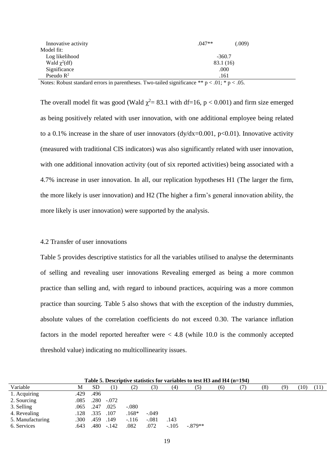| Innovative activity | $.047**$  | (.009) |
|---------------------|-----------|--------|
| Model fit:          |           |        |
| Log likelihood      | $-360.7$  |        |
| Wald $\chi^2(df)$   | 83.1 (16) |        |
| Significance        | .000      |        |
| Pseudo $R^2$        | .161      |        |

Notes: Robust standard errors in parentheses. Two-tailed significance  $** p < .01$ ;  $* p < .05$ .

The overall model fit was good (Wald  $\chi^2$  = 83.1 with df=16, p < 0.001) and firm size emerged as being positively related with user innovation, with one additional employee being related to a 0.1% increase in the share of user innovators ( $dy/dx=0.001$ ,  $p<0.01$ ). Innovative activity (measured with traditional CIS indicators) was also significantly related with user innovation, with one additional innovation activity (out of six reported activities) being associated with a 4.7% increase in user innovation. In all, our replication hypotheses H1 (The larger the firm, the more likely is user innovation) and H2 (The higher a firm's general innovation ability, the more likely is user innovation) were supported by the analysis.

#### 4.2 Transfer of user innovations

Table 5 provides descriptive statistics for all the variables utilised to analyse the determinants of selling and revealing user innovations Revealing emerged as being a more common practice than selling and, with regard to inbound practices, acquiring was a more common practice than sourcing. Table 5 also shows that with the exception of the industry dummies, absolute values of the correlation coefficients do not exceed 0.30. The variance inflation factors in the model reported hereafter were  $< 4.8$  (while 10.0 is the commonly accepted threshold value) indicating no multicollinearity issues.

| Table 5. Descriptive statistics for variables to test $H3$ and $H4$ (n=194) |      |           |         |         |         |         |           |     |  |     |     |      |      |
|-----------------------------------------------------------------------------|------|-----------|---------|---------|---------|---------|-----------|-----|--|-----|-----|------|------|
| Variable                                                                    | М    | <b>SD</b> |         | (2)     | (3)     | (4)     | (5)       | (6) |  | (8) | (9) | (10) | (11) |
| 1. Acquiring                                                                | .429 | .496      |         |         |         |         |           |     |  |     |     |      |      |
| 2. Sourcing                                                                 | .085 | .280      | $-.072$ |         |         |         |           |     |  |     |     |      |      |
| 3. Selling                                                                  | .065 | .247      | .025    | $-.080$ |         |         |           |     |  |     |     |      |      |
| 4. Revealing                                                                | .128 | .335      | .107    | $.168*$ | $-.049$ |         |           |     |  |     |     |      |      |
| 5. Manufacturing                                                            | .300 | .459      | .149    | $-.116$ | $-.081$ | .143    |           |     |  |     |     |      |      |
| 6. Services                                                                 | .643 | .480      | $-142$  | .082    | .072    | $-.105$ | $-.879**$ |     |  |     |     |      |      |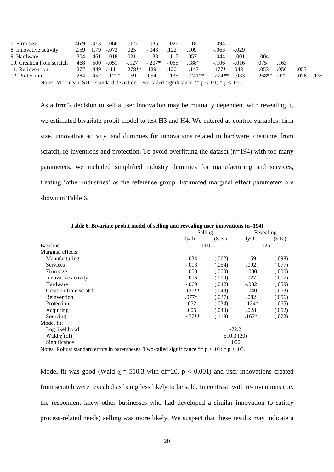| 7. Firm size                                                                                                                                         |              | $46.9$ $50.3$ $-0.066$ $-0.027$ |         | $-.035-.026$ |         | .118           | $-.094$       |         |          |      |      |      |
|------------------------------------------------------------------------------------------------------------------------------------------------------|--------------|---------------------------------|---------|--------------|---------|----------------|---------------|---------|----------|------|------|------|
| 8. Innovative activity                                                                                                                               |              | $2.59$ 1.79 $-.073$             | .025    | $-.043$      | .122    | .109           | $-.063$       | $-.029$ |          |      |      |      |
| 9. Hardware                                                                                                                                          |              | $.304$ $.461$ $-.018$           | .021    | $-.138-.117$ |         | .057           | $-.044$       | $-.001$ | $-.004$  |      |      |      |
| 10. Creation from scratch                                                                                                                            |              | .468 .500 .051                  | $-.127$ | $-.207*$     | $-.065$ | $.188*$        | $-.106$       | $-.016$ | .075     | .163 |      |      |
| 11. Re-invention                                                                                                                                     | .277.449.111 |                                 | $278**$ | .129         | .120    | $-.147$        | $177*$        | .048    | $-0.53$  | .056 | .053 |      |
| 12. Protection                                                                                                                                       |              | $.284$ $.452$ $-.171*$          | .159    | .054         |         | $-.135-.241**$ | $.274**-.033$ |         | $.268**$ | .022 | .076 | .135 |
| $\mathbf{M}$ and $\mathbf{M}$ and $\mathbf{M}$ and $\mathbf{M}$ and $\mathbf{M}$ and $\mathbf{M}$ and $\mathbf{M}$ and $\mathbf{M}$ and $\mathbf{M}$ |              |                                 |         |              |         |                |               |         |          |      |      |      |

Notes: M = mean, SD = standard deviation. Two-tailed significance \*\*  $p < .01$ ; \*  $p < .05$ .

As a firm's decision to sell a user innovation may be mutually dependent with revealing it, we estimated bivariate probit model to test H3 and H4. We entered as control variables: firm size, innovative activity, and dummies for innovations related to hardware, creations from scratch, re-inventions and protection. To avoid overfitting the dataset (n=194) with too many parameters, we included simplified industry dummies for manufacturing and services, treating 'other industries' as the reference group. Estimated marginal effect parameters are shown in Table 6.

| Table 6. Divariate probit model of seming and revealing user milovations (n=194) |           |                      |          |        |
|----------------------------------------------------------------------------------|-----------|----------------------|----------|--------|
|                                                                                  |           | Selling<br>Revealing |          |        |
|                                                                                  | dy/dx     | (S.E.)               | dy/dx    | (S.E.) |
| Baseline:                                                                        | .060      |                      | .125     |        |
| Marginal effects:                                                                |           |                      |          |        |
| Manufacturing                                                                    | $-.034$   | (.062)               | .159     | (.098) |
| <b>Services</b>                                                                  | $-.013$   | (.054)               | .092     | (.077) |
| Firm size                                                                        | $-0.000$  | (000)                | $-.000$  | (.000) |
| Innovative activity                                                              | $-.006$   | (.010)               | .027     | (.017) |
| Hardware                                                                         | $-.069$   | (.042)               | $-.082$  | (.059) |
| Creation from scratch                                                            | $-.127**$ | (.048)               | $-.040$  | (.063) |
| Reinvention                                                                      | $.077*$   | (.037)               | .082     | (.056) |
| Protection                                                                       | .052      | (.034)               | $-.134*$ | (.065) |
| Acquiring                                                                        | .005      | (.040)               | .028     | (.052) |
| Sourcing                                                                         | $-.477**$ | (.119)               | $.167*$  | (.072) |
| Model fit:                                                                       |           |                      |          |        |
| Log likelihood                                                                   |           | $-72.2$              |          |        |
| Wald $\chi^2(df)$                                                                |           | 510.3(20)            |          |        |
| Significance                                                                     |           |                      | .000     |        |
|                                                                                  |           |                      |          |        |

**Table 6. Bivariate probit model of selling and revealing user innovations (n=194)** 

Notes: Robust standard errors in parentheses. Two-tailed significance \*\*  $p < .01$ ; \*  $p < .05$ .

Model fit was good (Wald  $\chi^2$  = 510.3 with df=20, p < 0.001) and user innovations created from scratch were revealed as being less likely to be sold. In contrast, with re-inventions (i.e. the respondent knew other businesses who had developed a similar innovation to satisfy process-related needs) selling was more likely. We suspect that these results may indicate a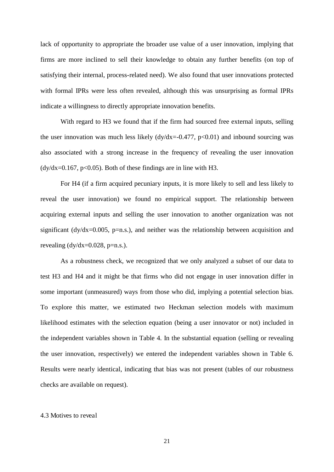lack of opportunity to appropriate the broader use value of a user innovation, implying that firms are more inclined to sell their knowledge to obtain any further benefits (on top of satisfying their internal, process-related need). We also found that user innovations protected with formal IPRs were less often revealed, although this was unsurprising as formal IPRs indicate a willingness to directly appropriate innovation benefits.

With regard to H3 we found that if the firm had sourced free external inputs, selling the user innovation was much less likely  $(dy/dx=0.477, p<0.01)$  and inbound sourcing was also associated with a strong increase in the frequency of revealing the user innovation  $\frac{dy}{dx} = 0.167$ , p<0.05). Both of these findings are in line with H3.

For H4 (if a firm acquired pecuniary inputs, it is more likely to sell and less likely to reveal the user innovation) we found no empirical support. The relationship between acquiring external inputs and selling the user innovation to another organization was not significant ( $\frac{dy}{dx}$ =0.005, p=n.s.), and neither was the relationship between acquisition and revealing  $\frac{dy}{dx} = 0.028$ , p=n.s.).

As a robustness check, we recognized that we only analyzed a subset of our data to test H3 and H4 and it might be that firms who did not engage in user innovation differ in some important (unmeasured) ways from those who did, implying a potential selection bias. To explore this matter, we estimated two Heckman selection models with maximum likelihood estimates with the selection equation (being a user innovator or not) included in the independent variables shown in Table 4. In the substantial equation (selling or revealing the user innovation, respectively) we entered the independent variables shown in Table 6. Results were nearly identical, indicating that bias was not present (tables of our robustness checks are available on request).

#### 4.3 Motives to reveal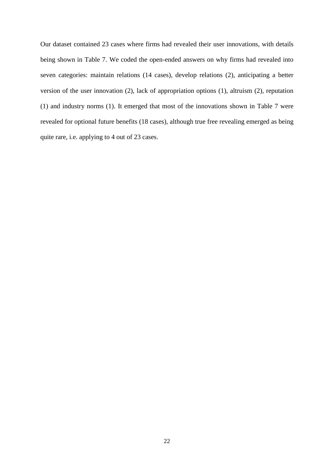Our dataset contained 23 cases where firms had revealed their user innovations, with details being shown in Table 7. We coded the open-ended answers on why firms had revealed into seven categories: maintain relations (14 cases), develop relations (2), anticipating a better version of the user innovation (2), lack of appropriation options (1), altruism (2), reputation (1) and industry norms (1). It emerged that most of the innovations shown in Table 7 were revealed for optional future benefits (18 cases), although true free revealing emerged as being quite rare, i.e. applying to 4 out of 23 cases.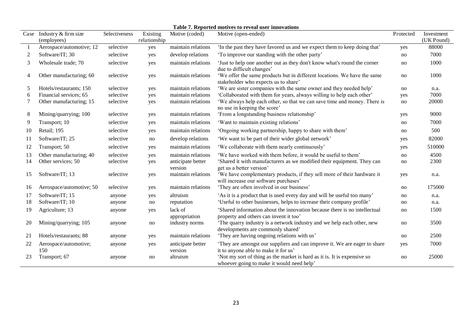| Table 7. Reported motives to reveal user innovations |  |
|------------------------------------------------------|--|
|------------------------------------------------------|--|

|                |                                          |               |                          |                              | Tubic 77 Incported mon (to to reveal user mino (ations                                                                |           |                          |
|----------------|------------------------------------------|---------------|--------------------------|------------------------------|-----------------------------------------------------------------------------------------------------------------------|-----------|--------------------------|
|                | Case Industry & firm size<br>(employees) | Selectiveness | Existing<br>relationship | Motive (coded)               | Motive (open-ended)                                                                                                   | Protected | Investment<br>(UK Pound) |
|                | Aerospace/automotive; 12                 | selective     | yes                      | maintain relations           | 'In the past they have favored us and we expect them to keep doing that'                                              | yes       | 88000                    |
| 2              | Software/IT; 30                          | selective     | yes                      | develop relations            | 'To improve our standing with the other party'                                                                        | no        | 7000                     |
| 3              | Wholesale trade; 70                      | selective     | yes                      | maintain relations           | 'Just to help one another out as they don't know what's round the corner<br>due to difficult changes'                 | no        | 1000                     |
| $\overline{4}$ | Other manufacturing; 60                  | selective     | yes                      | maintain relations           | 'We offer the same products but in different locations. We have the same<br>stakeholder who expects us to share'      | no        | 1000                     |
| 5              | Hotels/restaurants; 150                  | selective     | yes                      | maintain relations           | 'We are sister companies with the same owner and they needed help'                                                    | no        | n.a.                     |
| 6              | Financial services; 65                   | selective     | yes                      | maintain relations           | 'Collaborated with them for years, always willing to help each other'                                                 | yes       | 7000                     |
|                | Other manufacturing; 15                  | selective     | yes                      | maintain relations           | 'We always help each other, so that we can save time and money. There is<br>no use in keeping the score'              | no        | 20000                    |
| 8              | Mining/quarrying; 100                    | selective     | yes                      | maintain relations           | 'From a longstanding business relationship'                                                                           | yes       | 9000                     |
| 9              | Transport; 10                            | selective     | yes                      | maintain relations           | 'Want to maintain existing relations'                                                                                 | no        | 7000                     |
| 10             | Retail; 195                              | selective     | yes                      | maintain relations           | 'Ongoing working partnership, happy to share with them'                                                               | no        | 500                      |
| 11             | Software/IT; 25                          | selective     | no                       | develop relations            | 'We want to be part of their wider global network'                                                                    | yes       | 82000                    |
| 12             | Transport; 50                            | selective     | yes                      | maintain relations           | 'We collaborate with them nearly continuously'                                                                        | yes       | 510000                   |
| 13             | Other manufacturing; 40                  | selective     | yes                      | maintain relations           | 'We have worked with them before, it would be useful to them'                                                         | no        | 4500                     |
| 14             | Other services; 50                       | selective     | yes                      | anticipate better<br>version | Shared it with manufacturers as we modified their equipment. They can<br>get us a better version'                     | no        | 2300                     |
| 15             | Software/IT; 13                          | selective     | yes                      | maintain relations           | 'We have complementary products, if they sell more of their hardware it<br>will increase our software purchases'      | yes       | n.a.                     |
| 16             | Aerospace/automotive; 50                 | selective     | yes                      | maintain relations           | 'They are often involved in our business'                                                                             | no        | 175000                   |
| 17             | Software/IT; 15                          | anyone        | yes                      | altruism                     | 'As it is a product that is used every day and will be useful too many'                                               | no        | n.a.                     |
| 18             | Software/IT; 10                          | anyone        | no                       | reputation                   | 'Useful to other businesses, helps to increase their company profile'                                                 | no        | n.a.                     |
| 19             | Agriculture; 13                          | anyone        | yes                      | lack of<br>appropriation     | 'Shared information about the innovation because there is no intellectual<br>property and others can invent it too'   | no        | 1500                     |
| 20             | Mining/quarrying; 105                    | anyone        | no                       | industry norms               | 'The quarry industry is a network industry and we help each other, new<br>developments are commonly shared'           | no        | 3500                     |
| 21             | Hotels/restaurants; 88                   | anyone        | yes                      | maintain relations           | 'They are having ongoing relations with us'                                                                           | no        | 2500                     |
| 22             | Aerospace/automotive;<br>150             | anyone        | yes                      | anticipate better<br>version | They are amongst our suppliers and can improve it. We are eager to share<br>it to anyone able to make it for us'      | yes       | 7000                     |
| 23             | Transport; 67                            | anyone        | no                       | altruism                     | 'Not my sort of thing as the market is hard as it is. It is expensive so<br>whoever going to make it would need help' | no        | 25000                    |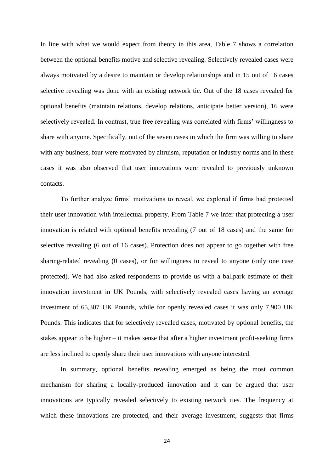In line with what we would expect from theory in this area, Table 7 shows a correlation between the optional benefits motive and selective revealing. Selectively revealed cases were always motivated by a desire to maintain or develop relationships and in 15 out of 16 cases selective revealing was done with an existing network tie. Out of the 18 cases revealed for optional benefits (maintain relations, develop relations, anticipate better version), 16 were selectively revealed. In contrast, true free revealing was correlated with firms' willingness to share with anyone. Specifically, out of the seven cases in which the firm was willing to share with any business, four were motivated by altruism, reputation or industry norms and in these cases it was also observed that user innovations were revealed to previously unknown contacts.

To further analyze firms' motivations to reveal, we explored if firms had protected their user innovation with intellectual property. From Table 7 we infer that protecting a user innovation is related with optional benefits revealing (7 out of 18 cases) and the same for selective revealing (6 out of 16 cases). Protection does not appear to go together with free sharing-related revealing (0 cases), or for willingness to reveal to anyone (only one case protected). We had also asked respondents to provide us with a ballpark estimate of their innovation investment in UK Pounds, with selectively revealed cases having an average investment of 65,307 UK Pounds, while for openly revealed cases it was only 7,900 UK Pounds. This indicates that for selectively revealed cases, motivated by optional benefits, the stakes appear to be higher – it makes sense that after a higher investment profit-seeking firms are less inclined to openly share their user innovations with anyone interested.

 In summary, optional benefits revealing emerged as being the most common mechanism for sharing a locally-produced innovation and it can be argued that user innovations are typically revealed selectively to existing network ties. The frequency at which these innovations are protected, and their average investment, suggests that firms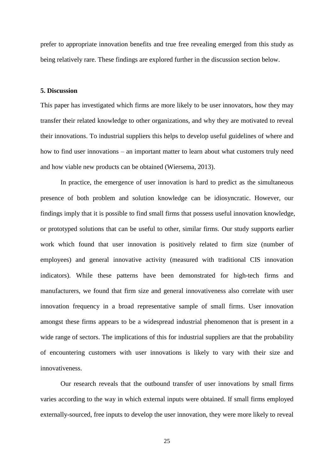prefer to appropriate innovation benefits and true free revealing emerged from this study as being relatively rare. These findings are explored further in the discussion section below.

#### **5. Discussion**

This paper has investigated which firms are more likely to be user innovators, how they may transfer their related knowledge to other organizations, and why they are motivated to reveal their innovations. To industrial suppliers this helps to develop useful guidelines of where and how to find user innovations – an important matter to learn about what customers truly need and how viable new products can be obtained (Wiersema, 2013).

In practice, the emergence of user innovation is hard to predict as the simultaneous presence of both problem and solution knowledge can be idiosyncratic. However, our findings imply that it is possible to find small firms that possess useful innovation knowledge, or prototyped solutions that can be useful to other, similar firms. Our study supports earlier work which found that user innovation is positively related to firm size (number of employees) and general innovative activity (measured with traditional CIS innovation indicators). While these patterns have been demonstrated for high-tech firms and manufacturers, we found that firm size and general innovativeness also correlate with user innovation frequency in a broad representative sample of small firms. User innovation amongst these firms appears to be a widespread industrial phenomenon that is present in a wide range of sectors. The implications of this for industrial suppliers are that the probability of encountering customers with user innovations is likely to vary with their size and innovativeness.

Our research reveals that the outbound transfer of user innovations by small firms varies according to the way in which external inputs were obtained. If small firms employed externally-sourced, free inputs to develop the user innovation, they were more likely to reveal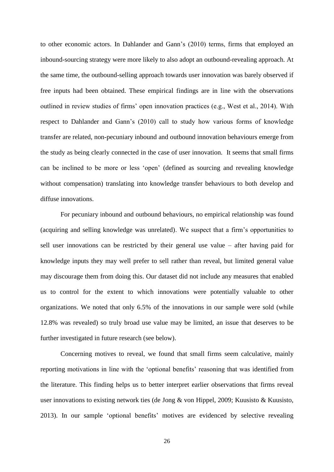to other economic actors. In Dahlander and Gann's (2010) terms, firms that employed an inbound-sourcing strategy were more likely to also adopt an outbound-revealing approach. At the same time, the outbound-selling approach towards user innovation was barely observed if free inputs had been obtained. These empirical findings are in line with the observations outlined in review studies of firms' open innovation practices (e.g., West et al., 2014). With respect to Dahlander and Gann's (2010) call to study how various forms of knowledge transfer are related, non-pecuniary inbound and outbound innovation behaviours emerge from the study as being clearly connected in the case of user innovation. It seems that small firms can be inclined to be more or less 'open' (defined as sourcing and revealing knowledge without compensation) translating into knowledge transfer behaviours to both develop and diffuse innovations.

For pecuniary inbound and outbound behaviours, no empirical relationship was found (acquiring and selling knowledge was unrelated). We suspect that a firm's opportunities to sell user innovations can be restricted by their general use value – after having paid for knowledge inputs they may well prefer to sell rather than reveal, but limited general value may discourage them from doing this. Our dataset did not include any measures that enabled us to control for the extent to which innovations were potentially valuable to other organizations. We noted that only 6.5% of the innovations in our sample were sold (while 12.8% was revealed) so truly broad use value may be limited, an issue that deserves to be further investigated in future research (see below).

Concerning motives to reveal, we found that small firms seem calculative, mainly reporting motivations in line with the 'optional benefits' reasoning that was identified from the literature. This finding helps us to better interpret earlier observations that firms reveal user innovations to existing network ties (de Jong & von Hippel, 2009; Kuusisto & Kuusisto, 2013). In our sample 'optional benefits' motives are evidenced by selective revealing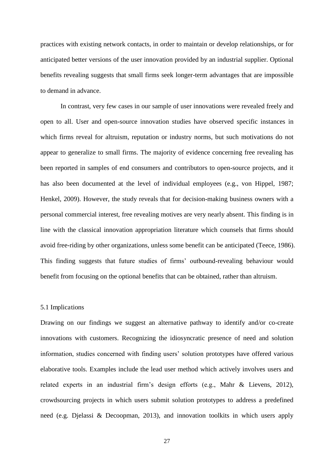practices with existing network contacts, in order to maintain or develop relationships, or for anticipated better versions of the user innovation provided by an industrial supplier. Optional benefits revealing suggests that small firms seek longer-term advantages that are impossible to demand in advance.

In contrast, very few cases in our sample of user innovations were revealed freely and open to all. User and open-source innovation studies have observed specific instances in which firms reveal for altruism, reputation or industry norms, but such motivations do not appear to generalize to small firms. The majority of evidence concerning free revealing has been reported in samples of end consumers and contributors to open-source projects, and it has also been documented at the level of individual employees (e.g., von Hippel, 1987; Henkel, 2009). However, the study reveals that for decision-making business owners with a personal commercial interest, free revealing motives are very nearly absent. This finding is in line with the classical innovation appropriation literature which counsels that firms should avoid free-riding by other organizations, unless some benefit can be anticipated (Teece, 1986). This finding suggests that future studies of firms' outbound-revealing behaviour would benefit from focusing on the optional benefits that can be obtained, rather than altruism.

#### 5.1 Implications

Drawing on our findings we suggest an alternative pathway to identify and/or co-create innovations with customers. Recognizing the idiosyncratic presence of need and solution information, studies concerned with finding users' solution prototypes have offered various elaborative tools. Examples include the lead user method which actively involves users and related experts in an industrial firm's design efforts (e.g., Mahr & Lievens, 2012), crowdsourcing projects in which users submit solution prototypes to address a predefined need (e.g. Djelassi & Decoopman, 2013), and innovation toolkits in which users apply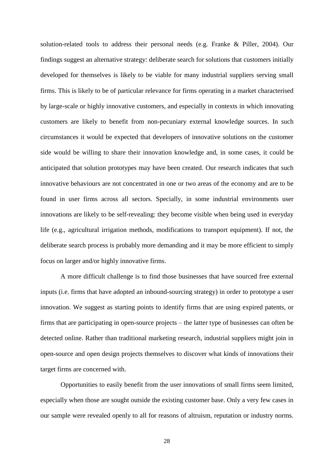solution-related tools to address their personal needs (e.g. Franke & Piller, 2004). Our findings suggest an alternative strategy: deliberate search for solutions that customers initially developed for themselves is likely to be viable for many industrial suppliers serving small firms. This is likely to be of particular relevance for firms operating in a market characterised by large-scale or highly innovative customers, and especially in contexts in which innovating customers are likely to benefit from non-pecuniary external knowledge sources. In such circumstances it would be expected that developers of innovative solutions on the customer side would be willing to share their innovation knowledge and, in some cases, it could be anticipated that solution prototypes may have been created. Our research indicates that such innovative behaviours are not concentrated in one or two areas of the economy and are to be found in user firms across all sectors. Specially, in some industrial environments user innovations are likely to be self-revealing: they become visible when being used in everyday life (e.g., agricultural irrigation methods, modifications to transport equipment). If not, the deliberate search process is probably more demanding and it may be more efficient to simply focus on larger and/or highly innovative firms.

A more difficult challenge is to find those businesses that have sourced free external inputs (i.e. firms that have adopted an inbound-sourcing strategy) in order to prototype a user innovation. We suggest as starting points to identify firms that are using expired patents, or firms that are participating in open-source projects – the latter type of businesses can often be detected online. Rather than traditional marketing research, industrial suppliers might join in open-source and open design projects themselves to discover what kinds of innovations their target firms are concerned with.

Opportunities to easily benefit from the user innovations of small firms seem limited, especially when those are sought outside the existing customer base. Only a very few cases in our sample were revealed openly to all for reasons of altruism, reputation or industry norms.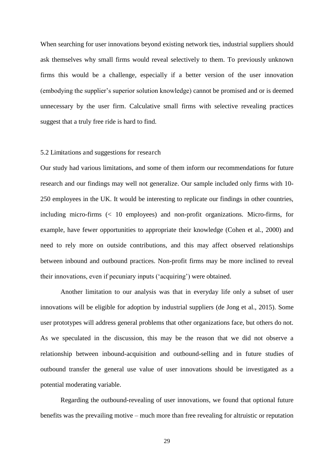When searching for user innovations beyond existing network ties, industrial suppliers should ask themselves why small firms would reveal selectively to them. To previously unknown firms this would be a challenge, especially if a better version of the user innovation (embodying the supplier's superior solution knowledge) cannot be promised and or is deemed unnecessary by the user firm. Calculative small firms with selective revealing practices suggest that a truly free ride is hard to find.

#### 5.2 Limitations and suggestions for research

Our study had various limitations, and some of them inform our recommendations for future research and our findings may well not generalize. Our sample included only firms with 10- 250 employees in the UK. It would be interesting to replicate our findings in other countries, including micro-firms (< 10 employees) and non-profit organizations. Micro-firms, for example, have fewer opportunities to appropriate their knowledge (Cohen et al., 2000) and need to rely more on outside contributions, and this may affect observed relationships between inbound and outbound practices. Non-profit firms may be more inclined to reveal their innovations, even if pecuniary inputs ('acquiring') were obtained.

Another limitation to our analysis was that in everyday life only a subset of user innovations will be eligible for adoption by industrial suppliers (de Jong et al., 2015). Some user prototypes will address general problems that other organizations face, but others do not. As we speculated in the discussion, this may be the reason that we did not observe a relationship between inbound-acquisition and outbound-selling and in future studies of outbound transfer the general use value of user innovations should be investigated as a potential moderating variable.

Regarding the outbound-revealing of user innovations, we found that optional future benefits was the prevailing motive – much more than free revealing for altruistic or reputation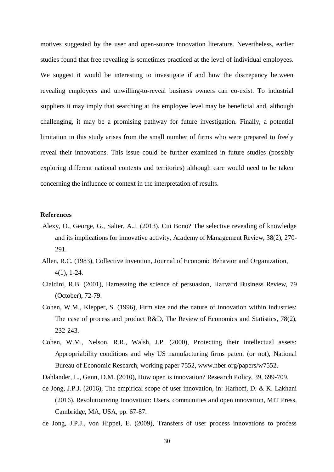motives suggested by the user and open-source innovation literature. Nevertheless, earlier studies found that free revealing is sometimes practiced at the level of individual employees. We suggest it would be interesting to investigate if and how the discrepancy between revealing employees and unwilling-to-reveal business owners can co-exist. To industrial suppliers it may imply that searching at the employee level may be beneficial and, although challenging, it may be a promising pathway for future investigation. Finally, a potential limitation in this study arises from the small number of firms who were prepared to freely reveal their innovations. This issue could be further examined in future studies (possibly exploring different national contexts and territories) although care would need to be taken concerning the influence of context in the interpretation of results.

#### **References**

- Alexy, O., George, G., Salter, A.J. (2013), Cui Bono? The selective revealing of knowledge and its implications for innovative activity, Academy of Management Review, 38(2), 270- 291.
- Allen, R.C. (1983), Collective Invention, Journal of Economic Behavior and Organization, 4(1), 1-24.
- Cialdini, R.B. (2001), Harnessing the science of persuasion, Harvard Business Review, 79 (October), 72-79.
- Cohen, W.M., Klepper, S. (1996), Firm size and the nature of innovation within industries: The case of process and product R&D, The Review of Economics and Statistics, 78(2), 232-243.
- Cohen, W.M., Nelson, R.R., Walsh, J.P. (2000), Protecting their intellectual assets: Appropriability conditions and why US manufacturing firms patent (or not), National Bureau of Economic Research, working paper 7552, www.nber.org/papers/w7552.
- Dahlander, L., Gann, D.M. (2010), How open is innovation? Research Policy, 39, 699-709.
- de Jong, J.P.J. (2016), The empirical scope of user innovation, in: Harhoff, D. & K. Lakhani (2016), Revolutionizing Innovation: Users, communities and open innovation, MIT Press, Cambridge, MA, USA, pp. 67-87.
- de Jong, J.P.J., von Hippel, E. (2009), Transfers of user process innovations to process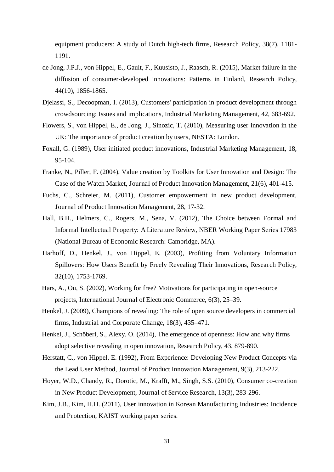equipment producers: A study of Dutch high-tech firms, Research Policy, 38(7), 1181- 1191.

- de Jong, J.P.J., von Hippel, E., Gault, F., Kuusisto, J., Raasch, R. (2015), Market failure in the diffusion of consumer-developed innovations: Patterns in Finland, Research Policy, 44(10), 1856-1865.
- Djelassi, S., Decoopman, I. (2013), Customers' participation in product development through crowdsourcing: Issues and implications, Industrial Marketing Management, 42, 683-692.
- Flowers, S., von Hippel, E., de Jong, J., Sinozic, T. (2010), Measuring user innovation in the UK: The importance of product creation by users, NESTA: London.
- Foxall, G. (1989), User initiated product innovations, Industrial Marketing Management, 18, 95-104.
- Franke, N., Piller, F. (2004), Value creation by Toolkits for User Innovation and Design: The Case of the Watch Market, Journal of Product Innovation Management, 21(6), 401-415.
- Fuchs, C., Schreier, M. (2011), Customer empowerment in new product development, Journal of Product Innovation Management, 28, 17-32.
- Hall, B.H., Helmers, C., Rogers, M., Sena, V. (2012), The Choice between Formal and Informal Intellectual Property: A Literature Review, NBER Working Paper Series 17983 (National Bureau of Economic Research: Cambridge, MA).
- Harhoff, D., Henkel, J., von Hippel, E. (2003), Profiting from Voluntary Information Spillovers: How Users Benefit by Freely Revealing Their Innovations, Research Policy, 32(10), 1753-1769.
- Hars, A., Ou, S. (2002), Working for free? Motivations for participating in open-source projects, International Journal of Electronic Commerce, 6(3), 25–39.
- Henkel, J. (2009), Champions of revealing: The role of open source developers in commercial firms, Industrial and Corporate Change, 18(3), 435–471.
- Henkel, J., Schöberl, S., Alexy, O. (2014), The emergence of openness: How and why firms adopt selective revealing in open innovation, Research Policy, 43, 879-890.
- Herstatt, C., von Hippel, E. (1992), From Experience: Developing New Product Concepts via the Lead User Method, Journal of Product Innovation Management, 9(3), 213-222.
- Hoyer, W.D., Chandy, R., Dorotic, M., Krafft, M., Singh, S.S. (2010), Consumer co-creation in New Product Development, Journal of Service Research, 13(3), 283-296.
- Kim, J.B., Kim, H.H. (2011), User innovation in Korean Manufacturing Industries: Incidence and Protection, KAIST working paper series.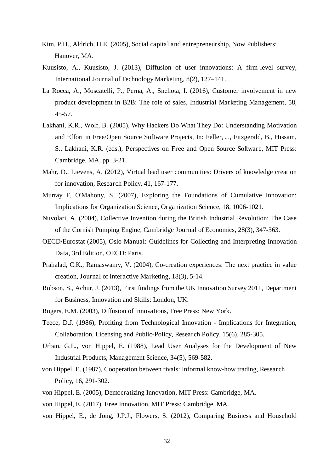- Kim, P.H., Aldrich, H.E. (2005), Social capital and entrepreneurship, Now Publishers: Hanover, MA.
- Kuusisto, A., Kuusisto, J. (2013), Diffusion of user innovations: A firm-level survey, International Journal of Technology Marketing, 8(2), 127–141.
- La Rocca, A., Moscatelli, P., Perna, A., Snehota, I. (2016), Customer involvement in new product development in B2B: The role of sales, Industrial Marketing Management, 58, 45-57.
- Lakhani, K.R., Wolf, B. (2005), Why Hackers Do What They Do: Understanding Motivation and Effort in Free/Open Source Software Projects, In: Feller, J., Fitzgerald, B., Hissam, S., Lakhani, K.R. (eds.), Perspectives on Free and Open Source Software, MIT Press: Cambridge, MA, pp. 3-21.
- Mahr, D., Lievens, A. (2012), Virtual lead user communities: Drivers of knowledge creation for innovation, Research Policy, 41, 167-177.
- Murray F, O'Mahony, S. (2007), Exploring the Foundations of Cumulative Innovation: Implications for Organization Science, Organization Science, 18, 1006-1021.
- Nuvolari, A. (2004), Collective Invention during the British Industrial Revolution: The Case of the Cornish Pumping Engine, Cambridge Journal of Economics, 28(3), 347-363.
- OECD/Eurostat (2005), Oslo Manual: Guidelines for Collecting and Interpreting Innovation Data, 3rd Edition, OECD: Paris.
- Prahalad, C.K., Ramaswamy, V. (2004), Co-creation experiences: The next practice in value creation, Journal of Interactive Marketing, 18(3), 5-14.
- Robson, S., Achur, J. (2013), First findings from the UK Innovation Survey 2011, Department for Business, Innovation and Skills: London, UK.
- Rogers, E.M. (2003), Diffusion of Innovations, Free Press: New York.
- Teece, D.J. (1986), Profiting from Technological Innovation Implications for Integration, Collaboration, Licensing and Public-Policy, Research Policy, 15(6), 285-305.
- Urban, G.L., von Hippel, E. (1988), Lead User Analyses for the Development of New Industrial Products, Management Science, 34(5), 569-582.
- von Hippel, E. (1987), Cooperation between rivals: Informal know-how trading, Research Policy, 16, 291-302.
- von Hippel, E. (2005), Democratizing Innovation, MIT Press: Cambridge, MA.
- von Hippel, E. (2017), Free Innovation, MIT Press: Cambridge, MA.
- von Hippel, E., de Jong, J.P.J., Flowers, S. (2012), Comparing Business and Household